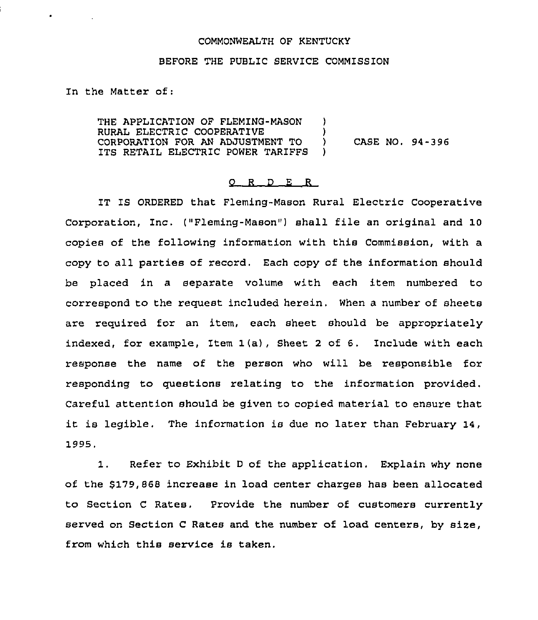## COMMONWEALTH OF KENTUCKY

## BEFORE THE PUBLIC SERVICE COMMISSION

In the Matter of:

THE APPLICATION OF FLEMING-MASON RURAL ELECTRIC COOPERATIVE CORPORATION FOR AN ADJUSTMENT TO ITS RETAIL ELECTRIC POWER TARIFFS )  $\left\{ \right\}$  $\lambda$ 

) CASE NO. 94-396

## $O$   $R$   $D$   $E$   $R$

IT IS ORDERED that Fleming-Mason Rural Electric Cooperative Corporation, Inc. ("Fleming-Mason") shall file an original and 10 copies of the following information with this Commission, with a copy to all parties of record. Each copy of the information should be placed in a separate volume with each item numbered to correspond to the request included herein. When a number of sheets are required for an item, each sheet should be appropriately indexed, for example, Item 1(a), Sheet <sup>2</sup> of 6. Include with each response the name of the person who will be responsible for responding to questions relating to the information provided. Careful attention should be given to copied material to ensure that it is legible. The information is due no later than February 14, 1995.

1. Refer to Exhibit <sup>D</sup> of the application. Explain why none of the \$179,868 increase in load center charges has been allocated to Section <sup>C</sup> Rates, Provide the number of customers currently served on section <sup>C</sup> Rates and the number of load centers, by size, from which this service is taken.